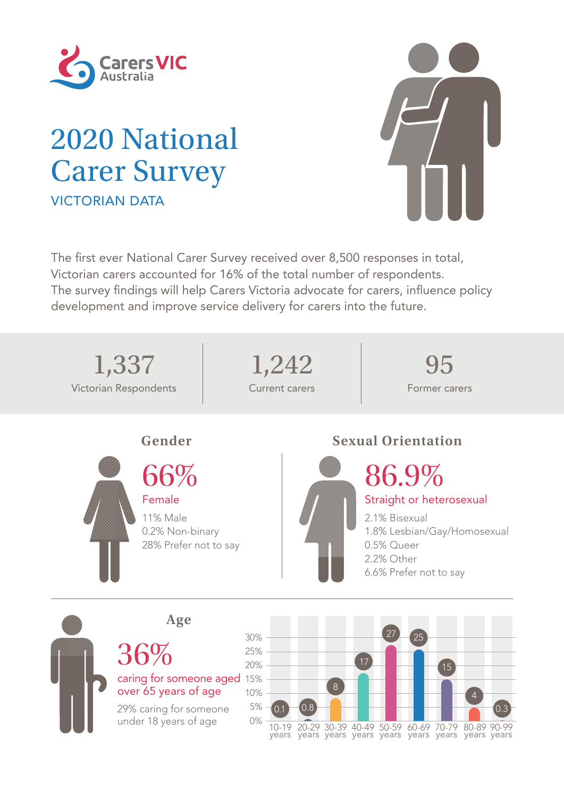

## 2020 National Carer Survey VICTORIAN DATA



The first ever National Carer Survey received over 8,500 responses in total, Victorian carers accounted for 16% of the total number of respondents. The survey findings will help Carers Victoria advocate for carers, influence policy development and improve service delivery for carers into the future.